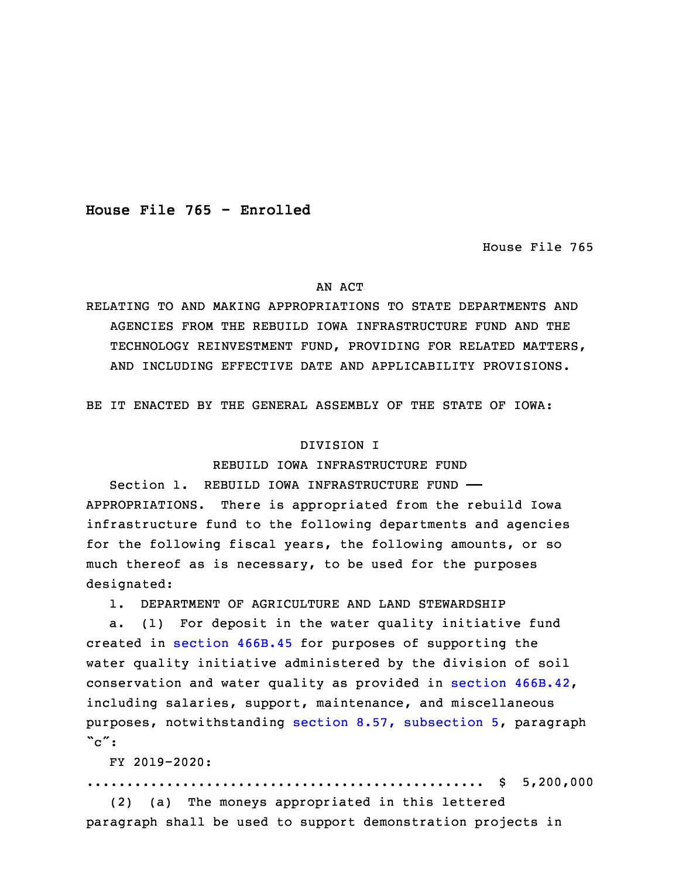**House File 765 - Enrolled**

House File 765

### AN ACT

RELATING TO AND MAKING APPROPRIATIONS TO STATE DEPARTMENTS AND AGENCIES FROM THE REBUILD IOWA INFRASTRUCTURE FUND AND THE TECHNOLOGY REINVESTMENT FUND, PROVIDING FOR RELATED MATTERS, AND INCLUDING EFFECTIVE DATE AND APPLICABILITY PROVISIONS.

BE IT ENACTED BY THE GENERAL ASSEMBLY OF THE STATE OF IOWA:

## DIVISION I

## REBUILD IOWA INFRASTRUCTURE FUND

3 Section 1. REBUILD IOWA INFRASTRUCTURE FUND —— APPROPRIATIONS. There is appropriated from the rebuild Iowa infrastructure fund to the following departments and agencies for the following fiscal years, the following amounts, or so much thereof as is necessary, to be used for the purposes designated:

1. DEPARTMENT OF AGRICULTURE AND LAND STEWARDSHIP

a. (1) For deposit in the water quality initiative fund created in [section](https://www.legis.iowa.gov/docs/code/2019/466B.45.pdf) 466B.45 for purposes of supporting the water quality initiative administered by the division of soil conservation and water quality as provided in section [466B.42](https://www.legis.iowa.gov/docs/code/2019/466B.42.pdf), including salaries, support, maintenance, and miscellaneous purposes, notwithstanding section 8.57, [subsection](https://www.legis.iowa.gov/docs/code/2019/8.57.pdf) 5, paragraph  $\degree c\degree$ :

17 FY 2019-2020:

18 .................................................. \$ 5,200,000

(2) (a) The moneys appropriated in this lettered paragraph shall be used to support demonstration projects in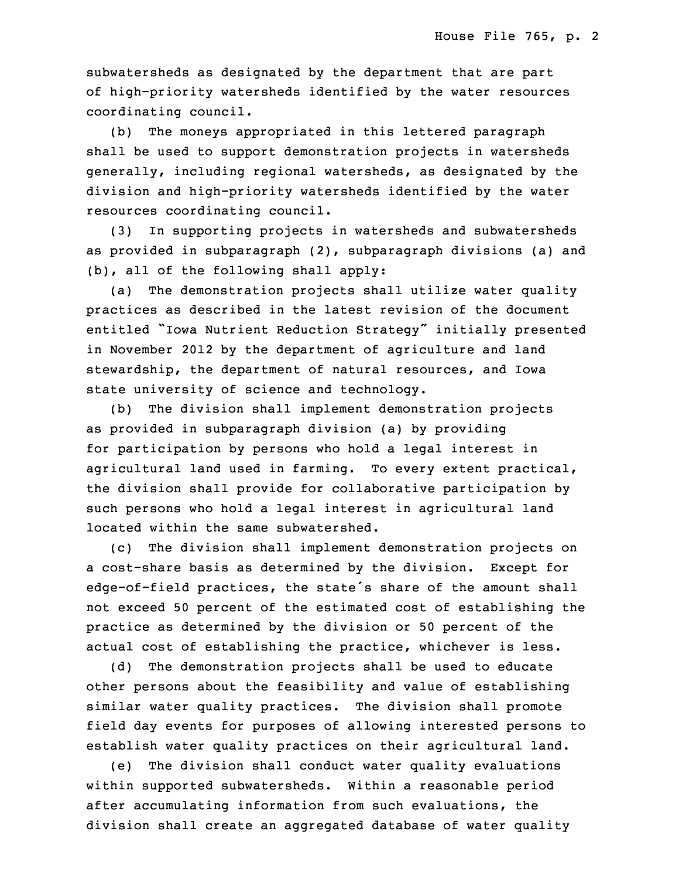subwatersheds as designated by the department that are part of high-priority watersheds identified by the water resources coordinating council.

 (b) The moneys appropriated in this lettered paragraph shall be used to support demonstration projects in watersheds generally, including regional watersheds, as designated by the division and high-priority watersheds identified by the water resources coordinating council.

(3) In supporting projects in watersheds and subwatersheds as provided in subparagraph (2), subparagraph divisions (a) and (b), all of the following shall apply:

(a) The demonstration projects shall utilize water quality practices as described in the latest revision of the document entitled "Iowa Nutrient Reduction Strategy" initially presented in November 2012 by the department of agriculture and land stewardship, the department of natural resources, and Iowa state university of science and technology.

(b) The division shall implement demonstration projects as provided in subparagraph division (a) by providing 5 for participation by persons who hold <sup>a</sup> legal interest in agricultural land used in farming. To every extent practical, the division shall provide for collaborative participation by such persons who hold a legal interest in agricultural land located within the same subwatershed.

(c) The division shall implement demonstration projects on <sup>a</sup> cost-share basis as determined by the division. Except for edge-of-field practices, the state's share of the amount shall not exceed 50 percent of the estimated cost of establishing the practice as determined by the division or 50 percent of the actual cost of establishing the practice, whichever is less.

(d) The demonstration projects shall be used to educate other persons about the feasibility and value of establishing similar water quality practices. The division shall promote field day events for purposes of allowing interested persons to establish water quality practices on their agricultural land.

 (e) The division shall conduct water quality evaluations within supported subwatersheds. Within <sup>a</sup> reasonable period after accumulating information from such evaluations, the division shall create an aggregated database of water quality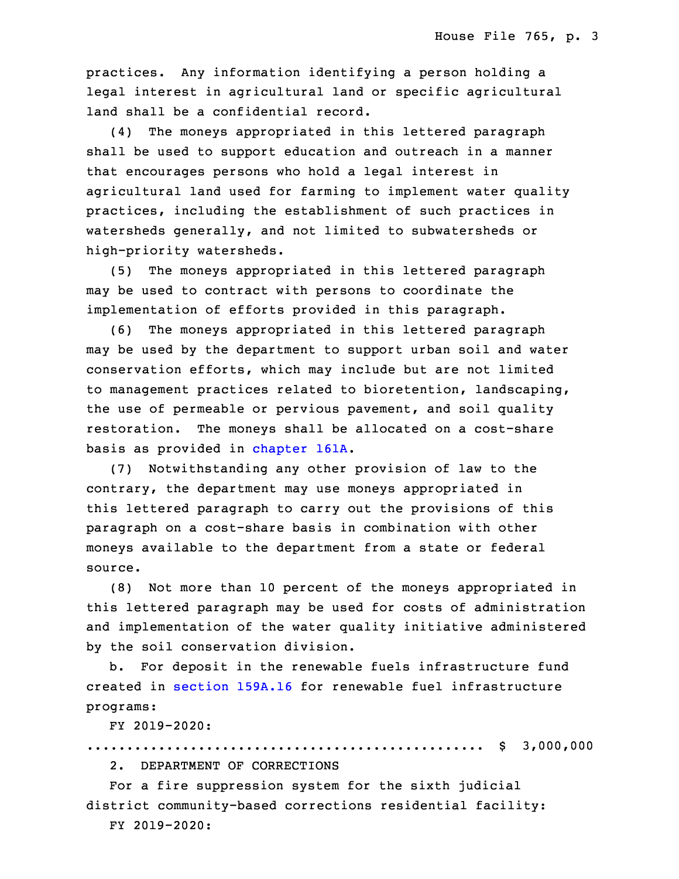practices. Any information identifying a person holding a legal interest in agricultural land or specific agricultural land shall be a confidential record.

(4) The moneys appropriated in this lettered paragraph shall be used to support education and outreach in a manner that encourages persons who hold a legal interest in agricultural land used for farming to implement water quality practices, including the establishment of such practices in watersheds generally, and not limited to subwatersheds or high-priority watersheds.

(5) The moneys appropriated in this lettered paragraph may be used to contract with persons to coordinate the implementation of efforts provided in this paragraph.

(6) The moneys appropriated in this lettered paragraph may be used by the department to support urban soil and water conservation efforts, which may include but are not limited to management practices related to bioretention, landscaping, the use of permeable or pervious pavement, and soil quality restoration. The moneys shall be allocated on a cost-share basis as provided in [chapter](https://www.legis.iowa.gov/docs/code/2019/161A.pdf) 161A.

10 (7) Notwithstanding any other provision of law to the contrary, the department may use moneys appropriated in this lettered paragraph to carry out the provisions of this paragraph on a cost-share basis in combination with other moneys available to the department from <sup>a</sup> state or federal source.

16 (8) Not more than 10 percent of the moneys appropriated in this lettered paragraph may be used for costs of administration and implementation of the water quality initiative administered by the soil conservation division.

b. For deposit in the renewable fuels infrastructure fund created in [section](https://www.legis.iowa.gov/docs/code/2019/159A.16.pdf) 159A.16 for renewable fuel infrastructure programs:

23 FY 2019-2020:

.................................................. \$ 3,000,000

2. DEPARTMENT OF CORRECTIONS

For a fire suppression system for the sixth judicial district community-based corrections residential facility:

28 FY 2019-2020: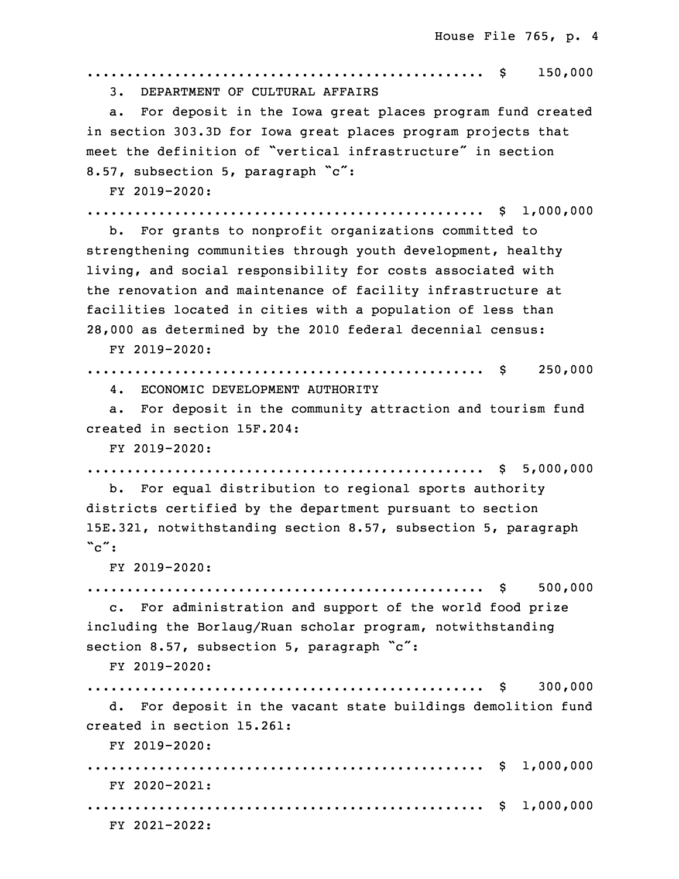29 .................................................. \$ 150,000 3. DEPARTMENT OF CULTURAL AFFAIRS a. For deposit in the Iowa great places program fund created in section 303.3D for Iowa great places program projects that meet the definition of "vertical infrastructure" in section 8.57, subsection 5, paragraph "c": 35 FY 2019-2020: .................................................. \$ 1,000,000 b. For grants to nonprofit organizations committed to strengthening communities through youth development, healthy living, and social responsibility for costs associated with the renovation and maintenance of facility infrastructure at facilities located in cities with a population of less than 7 28,000 as determined by the 2010 federal decennial census: 8 FY 2019-2020: 9 .................................................. \$ 250,000 4. ECONOMIC DEVELOPMENT AUTHORITY a. For deposit in the community attraction and tourism fund created in section 15F.204:  $FY$  2019-2020: .................................................. \$ 5,000,000 b. For equal distribution to regional sports authority districts certified by the department pursuant to section 15E.321, notwithstanding section 8.57, subsection 5, paragraph  $\degree c\degree$ : 19 FY 2019-2020: 20 .................................................. \$ 500,000 c. For administration and support of the world food prize including the Borlaug/Ruan scholar program, notwithstanding section 8.57, subsection 5, paragraph  $\degree$ c": FY 2019-2020: 25 .................................................. \$ 300,000 26 d. For deposit in the vacant state buildings demolition fund created in section 15.261: 28 FY 2019-2020:

 .................................................. \$ 1,000,000 FY 2020-2021: .................................................. \$ 1,000,000 FY 2021-2022: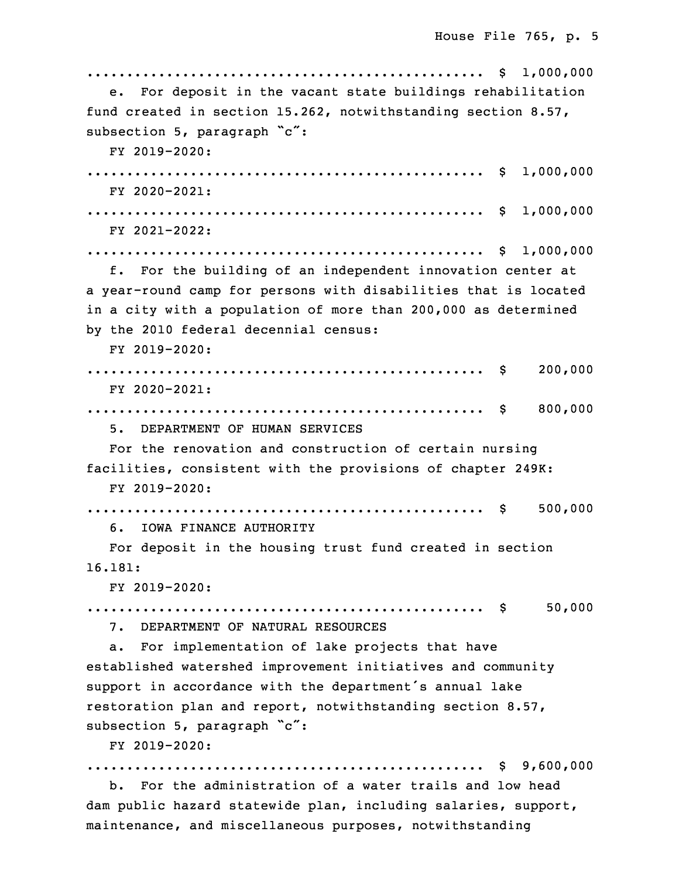```
33 .................................................. $ 1,000,000
   e. For deposit in the vacant state buildings rehabilitation
fund created in section 15.262, notwithstanding section 8.57,
subsection 5, paragraph "c":
   FY 2019-2020:
3 .................................................. $ 1,000,000
   FY 2020-2021:
5 .................................................. $ 1,000,000
  6 FY 2021-2022:
7 .................................................. $ 1,000,000
   f. For the building of an independent innovation center at
a year-round camp for persons with disabilities that is located
in a city with a population of more than 200,000 as determined
 by the 2010 federal decennial census:
   FY 2019-2020:
13 .................................................. $ 200,000
   FY 2020-2021:
15 .................................................. $ 800,000
   16 5. DEPARTMENT OF HUMAN SERVICES
  For the renovation and construction of certain nursing
facilities, consistent with the provisions of chapter 249K:
  19 FY 2019-2020:
20 .................................................. $ 500,000
    6. IOWA FINANCE AUTHORITY
   For deposit in the housing trust fund created in section
23 16.181:
   FY 2019-2020:
25 .................................................. $ 50,000
   26 7. DEPARTMENT OF NATURAL RESOURCES
  a. For implementation of lake projects that have
established watershed improvement initiatives and community
support in accordance with the department's annual lake
restoration plan and report, notwithstanding section 8.57,
subsection 5, paragraph "c":
  32 FY 2019-2020:
33 .................................................. $ 9,600,000
  b. For the administration of a water trails and low head
dam public hazard statewide plan, including salaries, support,
```
maintenance, and miscellaneous purposes, notwithstanding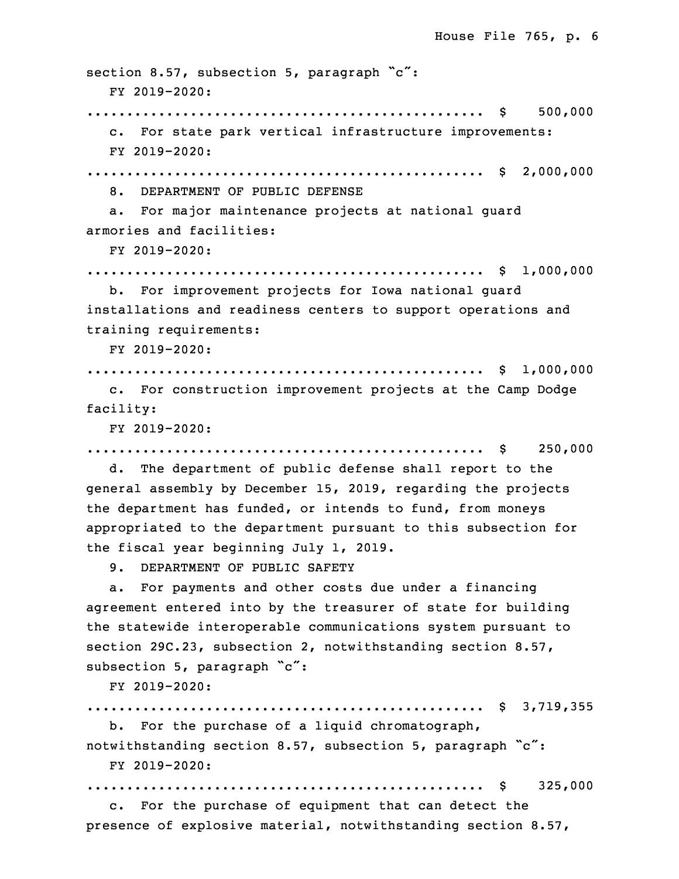section 8.57, subsection 5, paragraph "c": 3 FY 2019-2020: .................................................. \$ 500,000 c. For state park vertical infrastructure improvements: 6 FY 2019-2020: 7 .................................................. \$ 2,000,000 8. DEPARTMENT OF PUBLIC DEFENSE a. For major maintenance projects at national quard armories and facilities: FY 2019-2020: .................................................. \$ 1,000,000 b. For improvement projects for Iowa national quard installations and readiness centers to support operations and training requirements: 16 FY 2019-2020: 17 .................................................. \$ 1,000,000 c. For construction improvement projects at the Camp Dodge facility: 20 FY 2019-2020: .................................................. \$ 250,000 d. The department of public defense shall report to the general assembly by December 15, 2019, regarding the projects the department has funded, or intends to fund, from moneys appropriated to the department pursuant to this subsection for the fiscal year beginning July 1, 2019. 9. DEPARTMENT OF PUBLIC SAFETY a. For payments and other costs due under a financing agreement entered into by the treasurer of state for building the statewide interoperable communications system pursuant to section 29C.23, subsection 2, notwithstanding section 8.57, subsection 5, paragraph "c": 33 FY 2019-2020: 34 .................................................. \$ 3,719,355 b. For the purchase of a liquid chromatograph, notwithstanding section 8.57, subsection 5, paragraph "c":

FY 2019-2020:

3 .................................................. \$ 325,000

 c. For the purchase of equipment that can detect the presence of explosive material, notwithstanding section 8.57,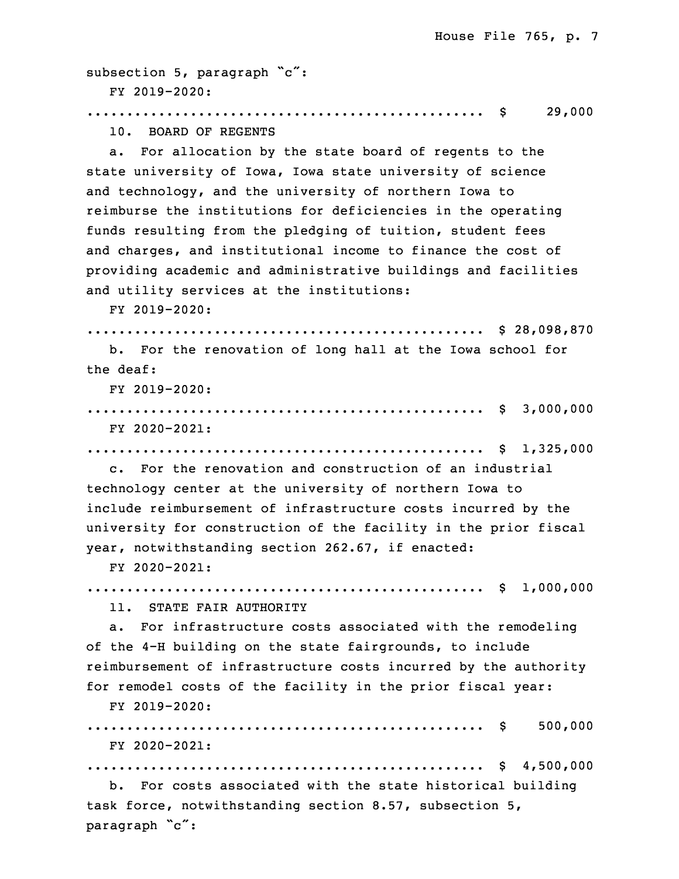subsection 5, paragraph "c": 7 FY 2019-2020: 8 .................................................. \$ 29,000 10. BOARD OF REGENTS a. For allocation by the state board of regents to the state university of Iowa, Iowa state university of science and technology, and the university of northern Iowa to reimburse the institutions for deficiencies in the operating funds resulting from the pledging of tuition, student fees and charges, and institutional income to finance the cost of providing academic and administrative buildings and facilities and utility services at the institutions: 18 FY 2019-2020: 19 .................................................. \$ 28,098,870 b. For the renovation of long hall at the Iowa school for the deaf: FY 2019-2020: 23 .................................................. \$ 3,000,000 FY 2020-2021: 25 .................................................. \$ 1,325,000 26 c. For the renovation and construction of an industrial 27 technology center at the university of northern Iowa to include reimbursement of infrastructure costs incurred by the university for construction of the facility in the prior fiscal year, notwithstanding section 262.67, if enacted: FY 2020-2021: 32 .................................................. \$ 1,000,000 11. STATE FAIR AUTHORITY a. For infrastructure costs associated with the remodeling of the 4-H building on the state fairgrounds, to include reimbursement of infrastructure costs incurred by the authority for remodel costs of the facility in the prior fiscal year: 3 FY 2019-2020: .................................................. \$ 500,000 5 FY 2020-2021: 6 .................................................. \$ 4,500,000 b. For costs associated with the state historical building

task force, notwithstanding section 8.57, subsection 5, paragraph "c":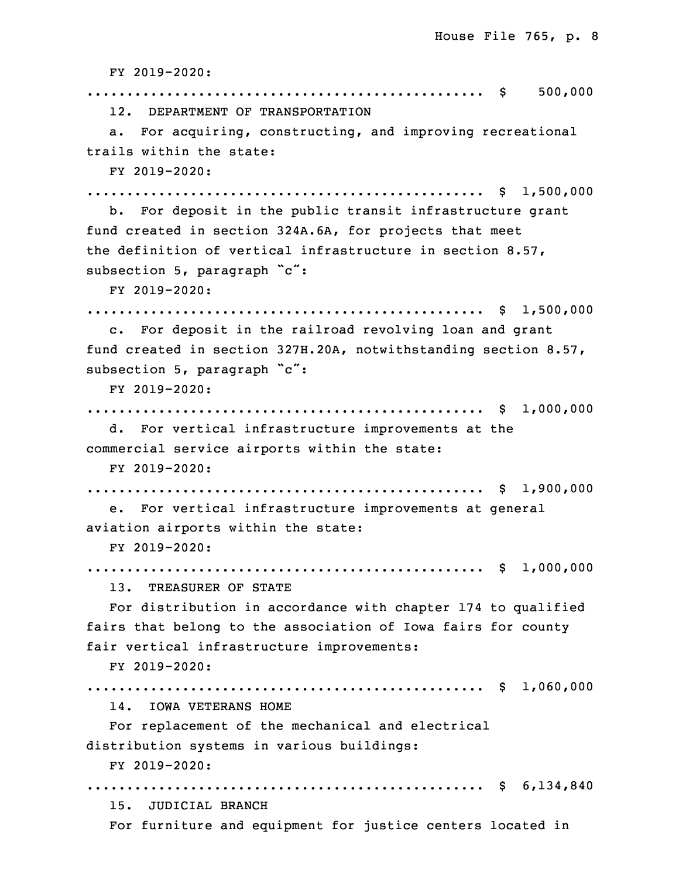10 FY 2019-2020: .................................................. \$ 500,000 12. DEPARTMENT OF TRANSPORTATION a. For acquiring, constructing, and improving recreational trails within the state: 15 FY 2019-2020: 16 .................................................. \$ 1,500,000 b. For deposit in the public transit infrastructure grant fund created in section 324A.6A, for projects that meet the definition of vertical infrastructure in section 8.57, subsection 5, paragraph "c": FY 2019-2020: .................................................. \$ 1,500,000 c. For deposit in the railroad revolving loan and grant fund created in section 327H.20A, notwithstanding section 8.57, subsection 5, paragraph "c": 26 FY 2019-2020: 27 .................................................. \$ 1,000,000 d. For vertical infrastructure improvements at the commercial service airports within the state: 30 FY 2019-2020: 31 .................................................. \$ 1,900,000 e. For vertical infrastructure improvements at general aviation airports within the state: 34 FY 2019-2020: 35 .................................................. \$ 1,000,000 13. TREASURER OF STATE For distribution in accordance with chapter 174 to qualified fairs that belong to the association of Iowa fairs for county fair vertical infrastructure improvements: 5 FY 2019-2020: 6 .................................................. \$ 1,060,000 14. IOWA VETERANS HOME For replacement of the mechanical and electrical distribution systems in various buildings: 10 FY 2019-2020: .................................................. \$ 6,134,840 15. JUDICIAL BRANCH For furniture and equipment for justice centers located in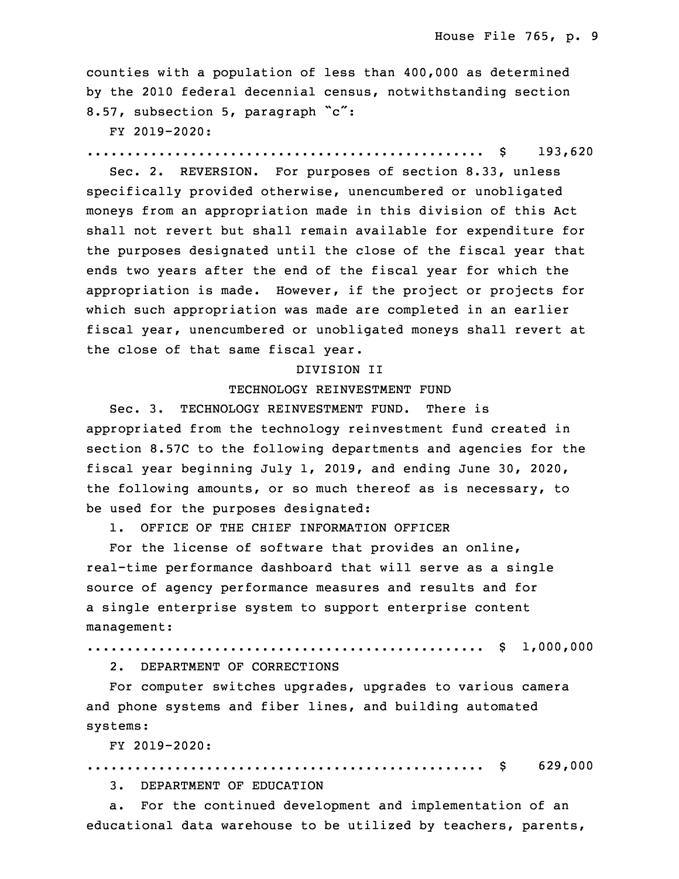counties with <sup>a</sup> population of less than 400,000 as determined by the 2010 federal decennial census, notwithstanding section 8.57, subsection 5, paragraph "c":

17 FY 2019-2020:

18 .................................................. \$ 193,620

Sec. 2. REVERSION. For purposes of section 8.33, unless specifically provided otherwise, unencumbered or unobligated moneys from an appropriation made in this division of this Act shall not revert but shall remain available for expenditure for the purposes designated until the close of the fiscal year that ends two years after the end of the fiscal year for which the appropriation is made. However, if the project or projects for which such appropriation was made are completed in an earlier fiscal year, unencumbered or unobligated moneys shall revert at the close of that same fiscal year.

#### 29 DIVISION II

#### TECHNOLOGY REINVESTMENT FUND

Sec. 3. TECHNOLOGY REINVESTMENT FUND. There is appropriated from the technology reinvestment fund created in section 8.57C to the following departments and agencies for the fiscal year beginning July 1, 2019, and ending June 30, 2020, the following amounts, or so much thereof as is necessary, to be used for the purposes designated:

1. OFFICE OF THE CHIEF INFORMATION OFFICER

For the license of software that provides an online, real-time performance dashboard that will serve as <sup>a</sup> single 5 source of agency performance measures and results and for a single enterprise system to support enterprise content management:

```
8 .................................................. $ 1,000,000
```
2. DEPARTMENT OF CORRECTIONS

For computer switches upgrades, upgrades to various camera and phone systems and fiber lines, and building automated systems:

13 FY 2019-2020:

.................................................. \$ 629,000

15 3. DEPARTMENT OF EDUCATION

a. For the continued development and implementation of an educational data warehouse to be utilized by teachers, parents,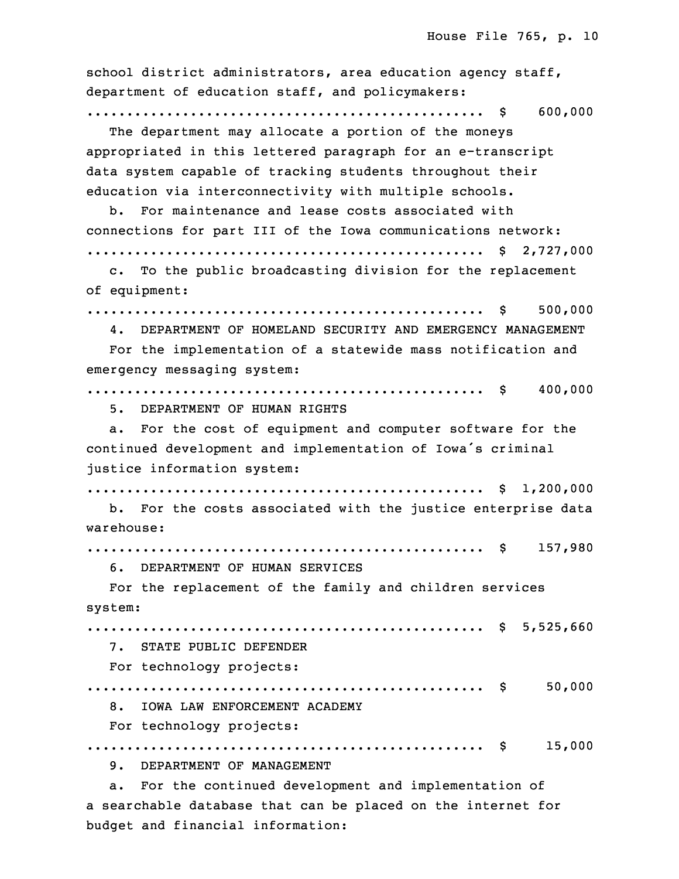| school district administrators, area education agency staff,<br>department of education staff, and policymakers:         |
|--------------------------------------------------------------------------------------------------------------------------|
| 600,000<br>The department may allocate a portion of the moneys                                                           |
| appropriated in this lettered paragraph for an e-transcript<br>data system capable of tracking students throughout their |
| education via interconnectivity with multiple schools.                                                                   |
| b. For maintenance and lease costs associated with                                                                       |
| connections for part III of the Iowa communications network:                                                             |
|                                                                                                                          |
| To the public broadcasting division for the replacement<br>$\mathbf{c}$ .                                                |
| of equipment:                                                                                                            |
| 500,000<br>\$                                                                                                            |
| 4. DEPARTMENT OF HOMELAND SECURITY AND EMERGENCY MANAGEMENT                                                              |
| For the implementation of a statewide mass notification and                                                              |
| emergency messaging system:                                                                                              |
| 400,000                                                                                                                  |
| 5. DEPARTMENT OF HUMAN RIGHTS                                                                                            |
| For the cost of equipment and computer software for the<br>а.                                                            |
| continued development and implementation of Iowa's criminal                                                              |
| justice information system:                                                                                              |
|                                                                                                                          |
| b. For the costs associated with the justice enterprise data                                                             |
| warehouse:                                                                                                               |
| 157,980<br>\$                                                                                                            |
| DEPARTMENT OF HUMAN SERVICES<br>6.                                                                                       |
| For the replacement of the family and children services                                                                  |
| system:                                                                                                                  |
|                                                                                                                          |
| 7. STATE PUBLIC DEFENDER                                                                                                 |
| For technology projects:                                                                                                 |
| 50,000                                                                                                                   |
| IOWA LAW ENFORCEMENT ACADEMY<br>8.                                                                                       |
| For technology projects:                                                                                                 |
| 15,000                                                                                                                   |
| 9. DEPARTMENT OF MANAGEMENT                                                                                              |
| For the continued development and implementation of<br>$a$ .                                                             |
| a searchable database that can be placed on the internet for                                                             |

budget and financial information: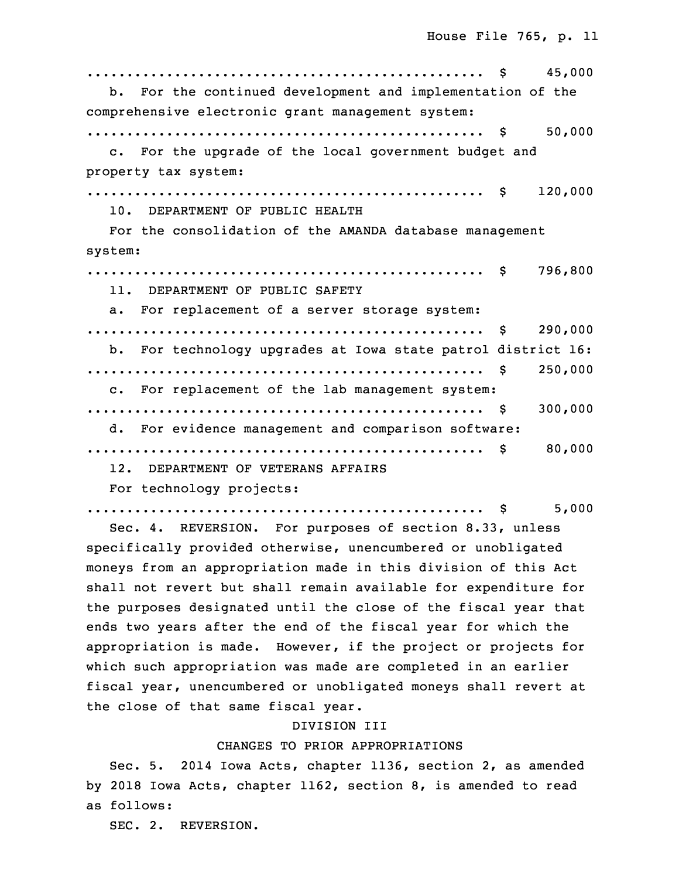|                                                              | 45,000  |
|--------------------------------------------------------------|---------|
| b. For the continued development and implementation of the   |         |
| comprehensive electronic grant management system:            |         |
|                                                              | 50,000  |
| c. For the upgrade of the local government budget and        |         |
| property tax system:                                         |         |
|                                                              | 120,000 |
| 10. DEPARTMENT OF PUBLIC HEALTH                              |         |
| For the consolidation of the AMANDA database management      |         |
| system:                                                      |         |
|                                                              | 796,800 |
| 11. DEPARTMENT OF PUBLIC SAFETY                              |         |
| a. For replacement of a server storage system:               |         |
|                                                              | 290,000 |
| b. For technology upgrades at Iowa state patrol district 16: |         |
|                                                              | 250,000 |
| c. For replacement of the lab management system:             |         |
|                                                              | 300,000 |
| d. For evidence management and comparison software:          |         |
|                                                              | 80,000  |
| 12. DEPARTMENT OF VETERANS AFFAIRS                           |         |
| For technology projects:                                     |         |

9 .................................................. \$ 5,000

Sec. 4. REVERSION. For purposes of section 8.33, unless specifically provided otherwise, unencumbered or unobligated moneys from an appropriation made in this division of this Act shall not revert but shall remain available for expenditure for the purposes designated until the close of the fiscal year that ends two years after the end of the fiscal year for which the appropriation is made. However, if the project or projects for which such appropriation was made are completed in an earlier fiscal year, unencumbered or unobligated moneys shall revert at the close of that same fiscal year.

# 20 DIVISION III

## CHANGES TO PRIOR APPROPRIATIONS

 Sec. 5. 2014 Iowa Acts, chapter 1136, section 2, as amended by 2018 Iowa Acts, chapter 1162, section 8, is amended to read as follows:

SEC. 2. REVERSION.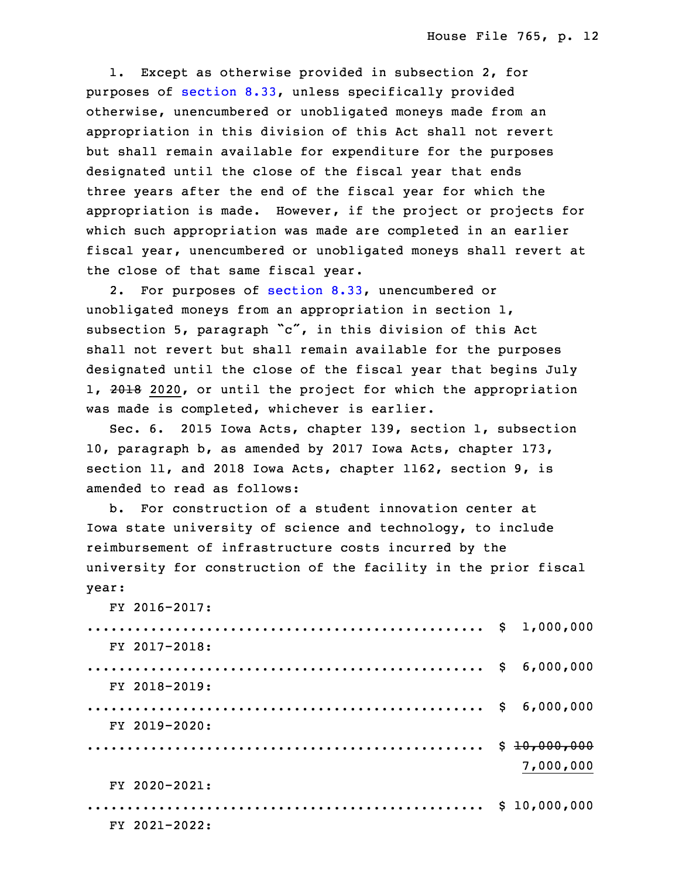1. Except as otherwise provided in subsection 2, for purposes of [section](https://www.legis.iowa.gov/docs/code/2019/8.33.pdf) 8.33, unless specifically provided otherwise, unencumbered or unobligated moneys made from an appropriation in this division of this Act shall not revert but shall remain available for expenditure for the purposes designated until the close of the fiscal year that ends three years after the end of the fiscal year for which the appropriation is made. However, if the project or projects for which such appropriation was made are completed in an earlier fiscal year, unencumbered or unobligated moneys shall revert at the close of that same fiscal year.

 2. For purposes of [section](https://www.legis.iowa.gov/docs/code/2019/8.33.pdf) 8.33, unencumbered or unobligated moneys from an appropriation in section  $1$ , subsection 5, paragraph "c", in this division of this Act shall not revert but shall remain available for the purposes designated until the close of the fiscal year that begins July 1, 2018 2020, or until the project for which the appropriation was made is completed, whichever is earlier.

Sec. 6. 2015 Iowa Acts, chapter 139, section 1, subsection 10, paragraph b, as amended by 2017 Iowa Acts, chapter 173, section 11, and 2018 Iowa Acts, chapter 1162, section 9, is amended to read as follows:

b. For construction of a student innovation center at Iowa state university of science and technology, to include reimbursement of infrastructure costs incurred by the university for construction of the facility in the prior fiscal year:

 $FY$  2016-2017:

| $\ldots \ldots \ldots \ldots \ldots \ldots \ldots \ldots \ldots \ldots \ldots \ldots \ldots \quad \text{``1,000,000}$ |              |
|-----------------------------------------------------------------------------------------------------------------------|--------------|
| FY 2017-2018:                                                                                                         |              |
|                                                                                                                       | 6,000,000    |
| FY 2018-2019:                                                                                                         |              |
|                                                                                                                       |              |
| FY 2019-2020:                                                                                                         |              |
|                                                                                                                       | \$10,000.000 |
|                                                                                                                       | 7,000,000    |
| FY 2020-2021:                                                                                                         |              |
|                                                                                                                       | \$10,000,000 |
| FY 2021-2022:                                                                                                         |              |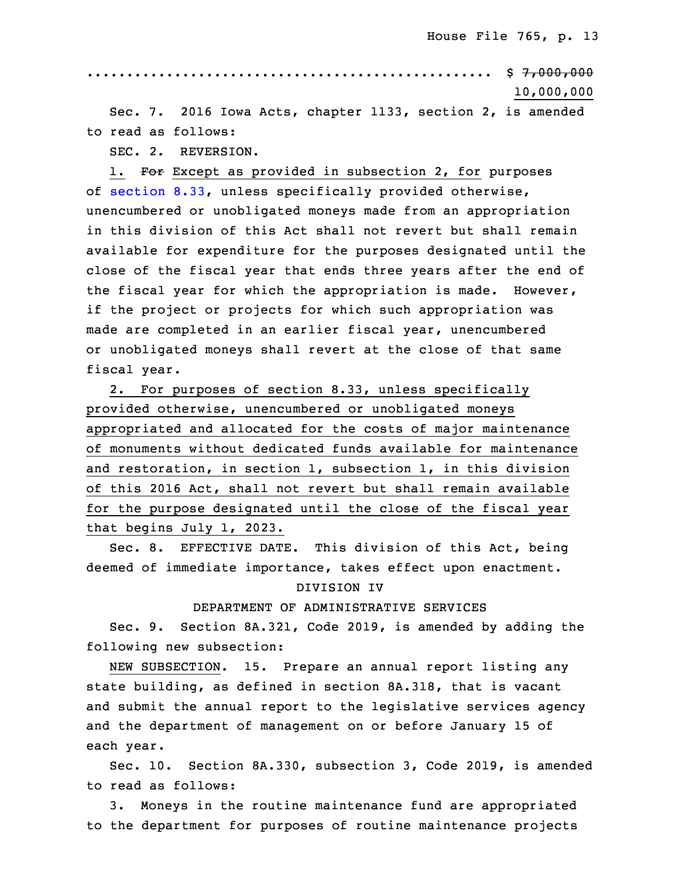30 ................................................... \$ 7,000,000 31 10,000,000

Sec. 7. 2016 Iowa Acts, chapter 1133, section 2, is amended to read as follows:

SEC. 2. REVERSION.

1. For Except as provided in subsection 2, for purposes of [section](https://www.legis.iowa.gov/docs/code/2019/8.33.pdf) 8.33, unless specifically provided otherwise, unencumbered or unobligated moneys made from an appropriation in this division of this Act shall not revert but shall remain available for expenditure for the purposes designated until the close of the fiscal year that ends three years after the end of the fiscal year for which the appropriation is made. However, if the project or projects for which such appropriation was made are completed in an earlier fiscal year, unencumbered or unobligated moneys shall revert at the close of that same fiscal year.

 2. For purposes of section 8.33, unless specifically provided otherwise, unencumbered or unobligated moneys appropriated and allocated for the costs of major maintenance of monuments without dedicated funds available for maintenance and restoration, in section 1, subsection 1, in this division of this 2016 Act, shall not revert but shall remain available for the purpose designated until the close of the fiscal year that begins July 1, 2023.

Sec. 8. EFFECTIVE DATE. This division of this Act, being deemed of immediate importance, takes effect upon enactment.

### DIVISION IV

#### DEPARTMENT OF ADMINISTRATIVE SERVICES

Sec. 9. Section 8A.321, Code 2019, is amended by adding the following new subsection:

NEW SUBSECTION. 15. Prepare an annual report listing any state building, as defined in section 8A.318, that is vacant and submit the annual report to the legislative services agency and the department of management on or before January 15 of each year.

Sec. 10. Section 8A.330, subsection 3, Code 2019, is amended to read as follows:

3. Moneys in the routine maintenance fund are appropriated to the department for purposes of routine maintenance projects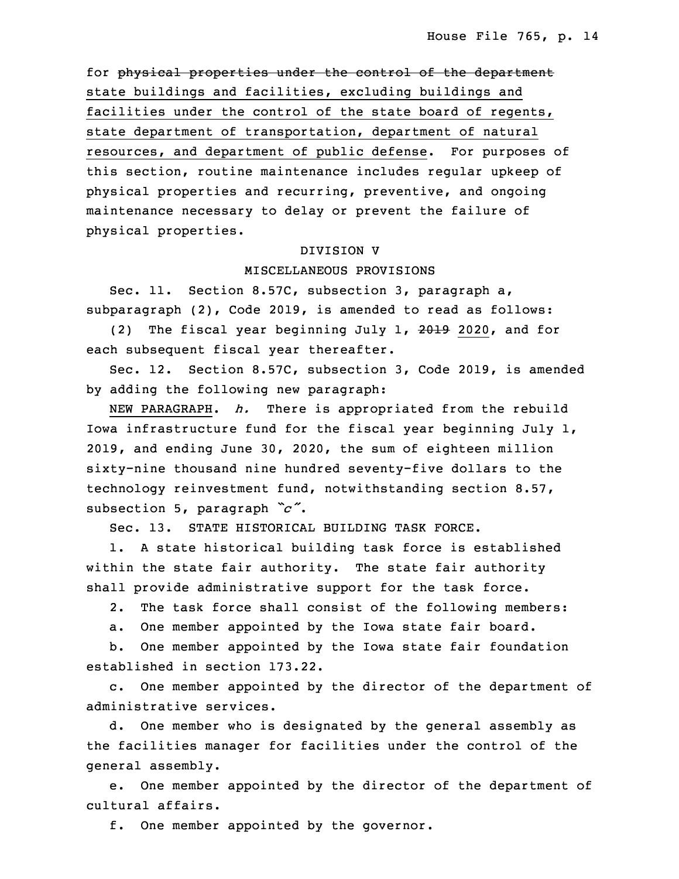for physical properties under the control of the department state buildings and facilities, excluding buildings and facilities under the control of the state board of regents, state department of transportation, department of natural resources, and department of public defense. For purposes of this section, routine maintenance includes regular upkeep of physical properties and recurring, preventive, and ongoing maintenance necessary to delay or prevent the failure of physical properties.

#### 8 DIVISION V

### 9 MISCELLANEOUS PROVISIONS

Sec. 11. Section 8.57C, subsection 3, paragraph a, subparagraph (2), Code 2019, is amended to read as follows:

(2) The fiscal year beginning July 1,  $2019$  2020, and for each subsequent fiscal year thereafter.

 Sec. 12. Section 8.57C, subsection 3, Code 2019, is amended by adding the following new paragraph:

NEW PARAGRAPH. *h.* There is appropriated from the rebuild Iowa infrastructure fund for the fiscal year beginning July  $1$ , 2019, and ending June 30, 2020, the sum of eighteen million sixty-nine thousand nine hundred seventy-five dollars to the technology reinvestment fund, notwithstanding section 8.57, subsection 5, paragraph *"c"*.

Sec. 13. STATE HISTORICAL BUILDING TASK FORCE.

1. A state historical building task force is established within the state fair authority. The state fair authority shall provide administrative support for the task force.

2. The task force shall consist of the following members:

a. One member appointed by the Iowa state fair board.

b. One member appointed by the Iowa state fair foundation established in section 173.22.

c. One member appointed by the director of the department of administrative services.

d. One member who is designated by the general assembly as the facilities manager for facilities under the control of the general assembly.

e. One member appointed by the director of the department of cultural affairs.

f. One member appointed by the governor.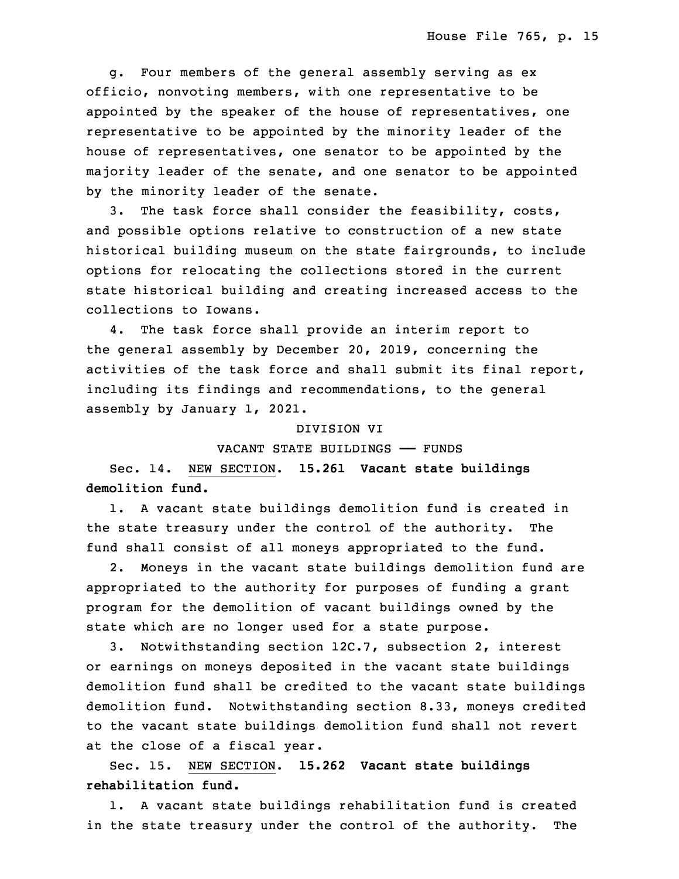g. Four members of the general assembly serving as ex officio, nonvoting members, with one representative to be appointed by the speaker of the house of representatives, one representative to be appointed by the minority leader of the house of representatives, one senator to be appointed by the majority leader of the senate, and one senator to be appointed by the minority leader of the senate.

3. The task force shall consider the feasibility, costs, and possible options relative to construction of <sup>a</sup> new state historical building museum on the state fairgrounds, to include options for relocating the collections stored in the current state historical building and creating increased access to the collections to Iowans.

4. The task force shall provide an interim report to the general assembly by December 20, 2019, concerning the activities of the task force and shall submit its final report, including its findings and recommendations, to the general assembly by January 1, 2021.

### DIVISION VI

VACANT STATE BUILDINGS —— FUNDS

23 Sec. 14. NEW SECTION. **15.261 Vacant state buildings demolition fund.**

1. A vacant state buildings demolition fund is created in the state treasury under the control of the authority. The fund shall consist of all moneys appropriated to the fund.

2. Moneys in the vacant state buildings demolition fund are appropriated to the authority for purposes of funding a grant program for the demolition of vacant buildings owned by the state which are no longer used for a state purpose.

3. Notwithstanding section 12C.7, subsection 2, interest or earnings on moneys deposited in the vacant state buildings demolition fund shall be credited to the vacant state buildings demolition fund. Notwithstanding section 8.33, moneys credited to the vacant state buildings demolition fund shall not revert at the close of <sup>a</sup> fiscal year.

3 Sec. 15. NEW SECTION. **15.262 Vacant state buildings rehabilitation fund.**

1. A vacant state buildings rehabilitation fund is created in the state treasury under the control of the authority. The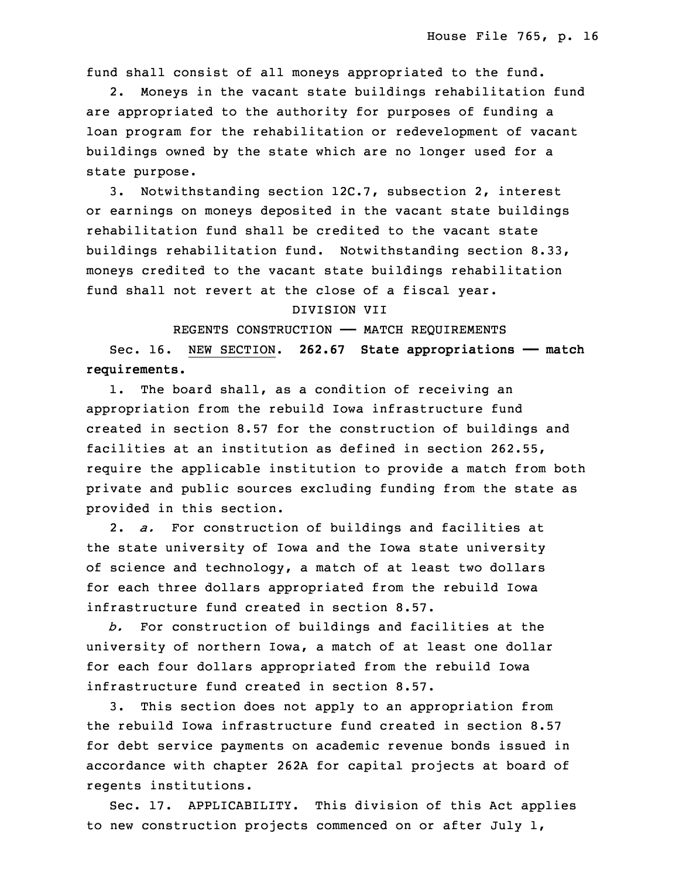fund shall consist of all moneys appropriated to the fund.

2. Moneys in the vacant state buildings rehabilitation fund are appropriated to the authority for purposes of funding a loan program for the rehabilitation or redevelopment of vacant buildings owned by the state which are no longer used for <sup>a</sup> state purpose.

13 3. Notwithstanding section 12C.7, subsection 2, interest or earnings on moneys deposited in the vacant state buildings rehabilitation fund shall be credited to the vacant state buildings rehabilitation fund. Notwithstanding section 8.33, moneys credited to the vacant state buildings rehabilitation fund shall not revert at the close of a fiscal year.

#### 19 DIVISION VII

REGENTS CONSTRUCTION - MATCH REQUIREMENTS

 Sec. 16. NEW SECTION. **262.67 State appropriations —— match requirements.**

1. The board shall, as a condition of receiving an appropriation from the rebuild Iowa infrastructure fund created in section 8.57 for the construction of buildings and 26 facilities at an institution as defined in section 262.55, require the applicable institution to provide a match from both private and public sources excluding funding from the state as provided in this section.

30 2. *a.* For construction of buildings and facilities at the state university of Iowa and the Iowa state university of science and technology, a match of at least two dollars for each three dollars appropriated from the rebuild Iowa infrastructure fund created in section 8.57.

35 *b.* For construction of buildings and facilities at the university of northern Iowa, <sup>a</sup> match of at least one dollar for each four dollars appropriated from the rebuild Iowa infrastructure fund created in section 8.57.

 3. This section does not apply to an appropriation from 5 the rebuild Iowa infrastructure fund created in section 8.57 6 for debt service payments on academic revenue bonds issued in accordance with chapter 262A for capital projects at board of regents institutions.

Sec. 17. APPLICABILITY. This division of this Act applies to new construction projects commenced on or after July  $1$ ,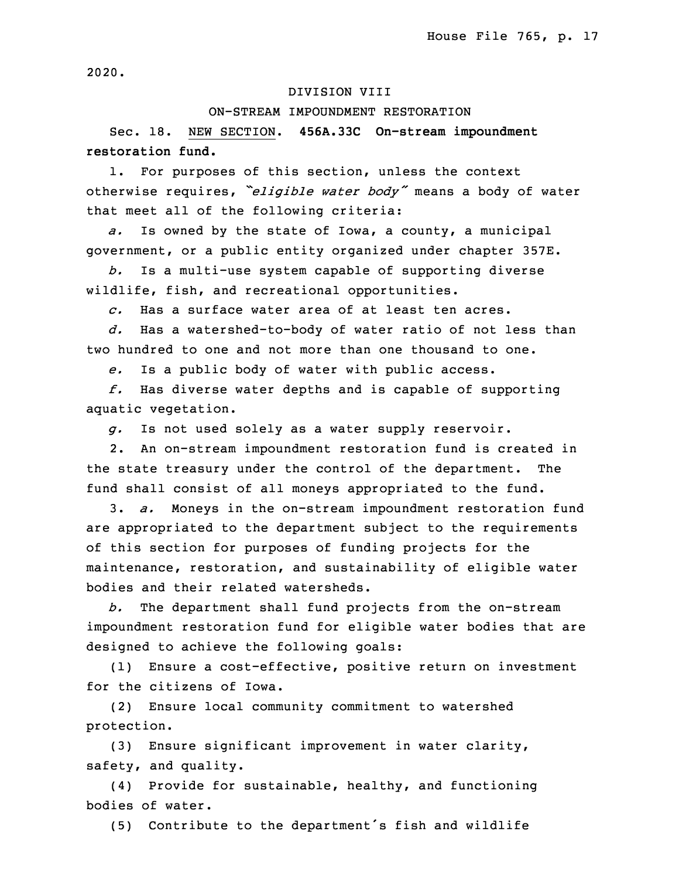2020.

## DIVISION VIII

#### 13 ON-STREAM IMPOUNDMENT RESTORATION

 Sec. 18. NEW SECTION. **456A.33C On-stream impoundment** 15 **restoration fund.**

1. For purposes of this section, unless the context <sup>17</sup> otherwise requires, *"eligible water body"* means <sup>a</sup> body of water that meet all of the following criteria:

a. Is owned by the state of Iowa, a county, a municipal government, or a public entity organized under chapter 357E.

 *b.* Is <sup>a</sup> multi-use system capable of supporting diverse wildlife, fish, and recreational opportunities.

23 *c.* Has a surface water area of at least ten acres.

 *d.* Has <sup>a</sup> watershed-to-body of water ratio of not less than two hundred to one and not more than one thousand to one.

e. Is a public body of water with public access.

27 *f.* Has diverse water depths and is capable of supporting aquatic vegetation.

g. Is not used solely as a water supply reservoir.

2. An on-stream impoundment restoration fund is created in the state treasury under the control of the department. The fund shall consist of all moneys appropriated to the fund.

33 3. *a.* Moneys in the on-stream impoundment restoration fund are appropriated to the department subject to the requirements of this section for purposes of funding projects for the maintenance, restoration, and sustainability of eligible water bodies and their related watersheds.

3 *b.* The department shall fund projects from the on-stream impoundment restoration fund for eligible water bodies that are designed to achieve the following goals:

6 (1) Ensure <sup>a</sup> cost-effective, positive return on investment for the citizens of Iowa.

(2) Ensure local community commitment to watershed protection.

(3) Ensure significant improvement in water clarity, safety, and quality.

 (4) Provide for sustainable, healthy, and functioning bodies of water.

(5) Contribute to the department's fish and wildlife